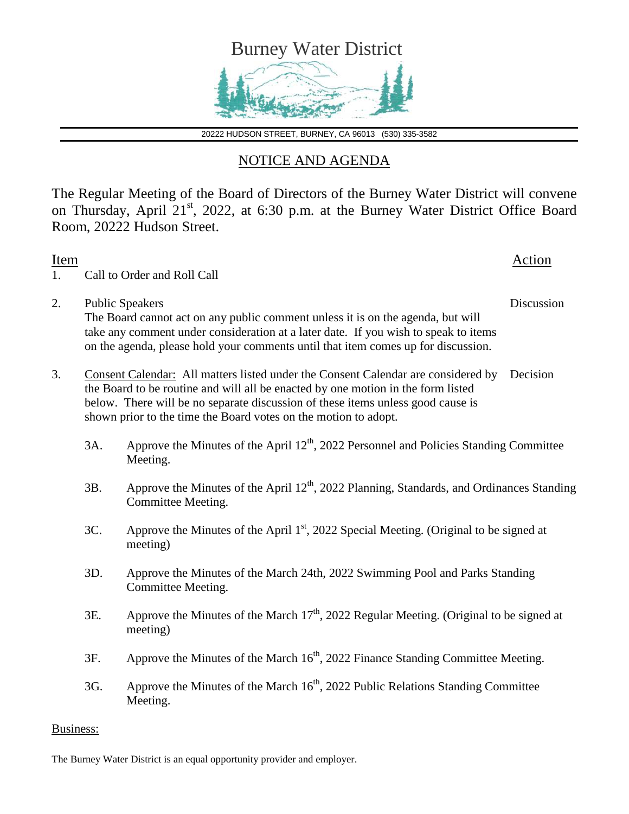

20222 HUDSON STREET, BURNEY, CA 96013 (530) 335-3582

## NOTICE AND AGENDA

The Regular Meeting of the Board of Directors of the Burney Water District will convene on Thursday, April 21<sup>st</sup>, 2022, at 6:30 p.m. at the Burney Water District Office Board Room, 20222 Hudson Street.

| <b>Item</b><br>1. |     | Call to Order and Roll Call                                                                                                                                                                                                                                                                                                 | Action     |
|-------------------|-----|-----------------------------------------------------------------------------------------------------------------------------------------------------------------------------------------------------------------------------------------------------------------------------------------------------------------------------|------------|
| 2.                |     | <b>Public Speakers</b><br>The Board cannot act on any public comment unless it is on the agenda, but will<br>take any comment under consideration at a later date. If you wish to speak to items<br>on the agenda, please hold your comments until that item comes up for discussion.                                       | Discussion |
| 3.                |     | Consent Calendar: All matters listed under the Consent Calendar are considered by<br>the Board to be routine and will all be enacted by one motion in the form listed<br>below. There will be no separate discussion of these items unless good cause is<br>shown prior to the time the Board votes on the motion to adopt. | Decision   |
|                   | 3A. | Approve the Minutes of the April 12 <sup>th</sup> , 2022 Personnel and Policies Standing Committee<br>Meeting.                                                                                                                                                                                                              |            |
|                   | 3B. | Approve the Minutes of the April 12 <sup>th</sup> , 2022 Planning, Standards, and Ordinances Standing<br>Committee Meeting.                                                                                                                                                                                                 |            |
|                   | 3C. | Approve the Minutes of the April 1 <sup>st</sup> , 2022 Special Meeting. (Original to be signed at<br>meeting)                                                                                                                                                                                                              |            |
|                   | 3D. | Approve the Minutes of the March 24th, 2022 Swimming Pool and Parks Standing<br>Committee Meeting.                                                                                                                                                                                                                          |            |
|                   | 3E. | Approve the Minutes of the March $17th$ , 2022 Regular Meeting. (Original to be signed at<br>meeting)                                                                                                                                                                                                                       |            |
|                   | 3F. | Approve the Minutes of the March 16 <sup>th</sup> , 2022 Finance Standing Committee Meeting.                                                                                                                                                                                                                                |            |
|                   | 3G. | Approve the Minutes of the March $16th$ , 2022 Public Relations Standing Committee<br>Meeting.                                                                                                                                                                                                                              |            |
| Business:         |     |                                                                                                                                                                                                                                                                                                                             |            |

The Burney Water District is an equal opportunity provider and employer.